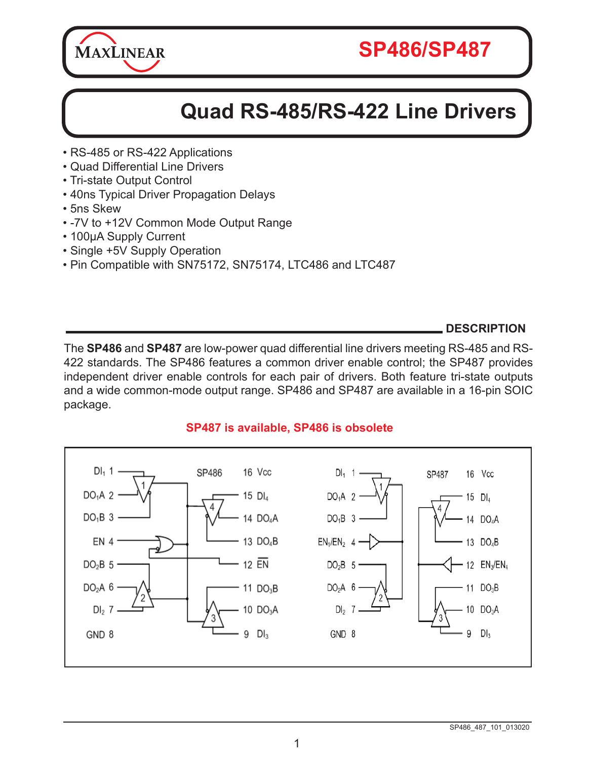

# **Quad RS-485/RS-422 Line Drivers**

- RS-485 or RS-422 Applications
- Quad Differential Line Drivers
- Tri-state Output Control
- 40ns Typical Driver Propagation Delays
- 5ns Skew
- -7V to +12V Common Mode Output Range
- 100µA Supply Current
- Single +5V Supply Operation
- Pin Compatible with SN75172, SN75174, LTC486 and LTC487

### **DESCRIPTION**

The **SP486** and **SP487** are low-power quad differential line drivers meeting RS-485 and RS-422 standards. The SP486 features a common driver enable control; the SP487 provides independent driver enable controls for each pair of drivers. Both feature tri-state outputs and a wide common-mode output range. SP486 and SP487 are available in a 16-pin SOIC package.



### **SP487 is available, SP486 is obsolete**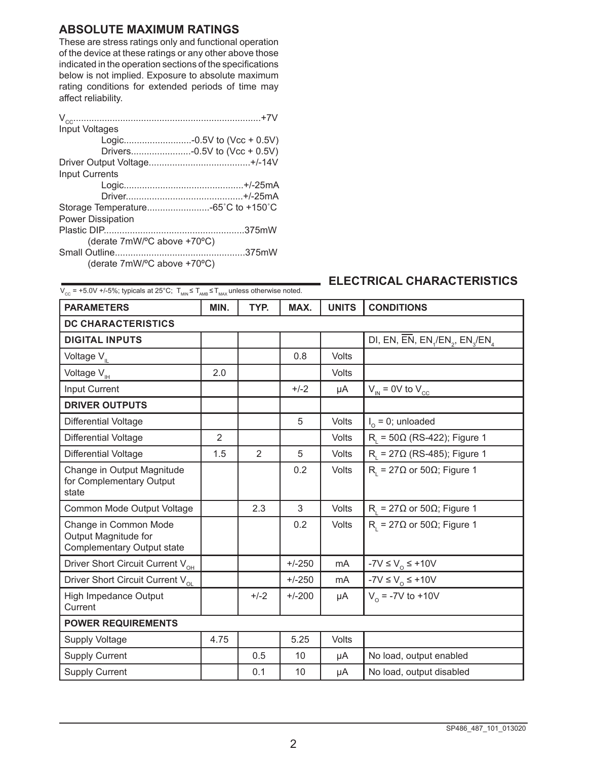### **ABSOLUTE MAXIMUM RATINGS**

These are stress ratings only and functional operation of the device at these ratings or any other above those indicated in the operation sections of the specifications below is not implied. Exposure to absolute maximum rating conditions for extended periods of time may affect reliability.

| Input Voltages               |
|------------------------------|
| Logic-0.5V to (Vcc + 0.5V)   |
| Drivers-0.5V to (Vcc + 0.5V) |
|                              |
| <b>Input Currents</b>        |
|                              |
|                              |
|                              |
| <b>Power Dissipation</b>     |
|                              |
| (derate 7mW/°C above +70°C)  |
|                              |
| (derate 7mW/°C above +70°C)  |

## $\overline{V_{\text{CC}}}=+5.0V$  +/-5%; typicals at 25°C;  $T_{\text{MIN}} \le T_{\text{MAX}}$  unless otherwise noted.<br> $\overline{V_{\text{CC}}}$  = +5.0V +/-5%; typicals at 25°C;  $T_{\text{MIN}} \le T_{\text{MAX}}$  unless otherwise noted.

| <b>PARAMETERS</b>                                                           | MIN. | TYP.           | MAX.     | <b>UNITS</b>   | <b>CONDITIONS</b>                                                                             |
|-----------------------------------------------------------------------------|------|----------------|----------|----------------|-----------------------------------------------------------------------------------------------|
| <b>DC CHARACTERISTICS</b>                                                   |      |                |          |                |                                                                                               |
| <b>DIGITAL INPUTS</b>                                                       |      |                |          |                | DI, EN, $\overline{EN}$ , EN <sub>1</sub> /EN <sub>2</sub> , EN <sub>3</sub> /EN <sub>4</sub> |
| Voltage V <sub>IL</sub>                                                     |      |                | 0.8      | Volts          |                                                                                               |
| Voltage V <sub>IH</sub>                                                     | 2.0  |                |          | Volts          |                                                                                               |
| Input Current                                                               |      |                | $+/-2$   | μA             | $V_{IN}$ = 0V to $V_{CC}$                                                                     |
| <b>DRIVER OUTPUTS</b>                                                       |      |                |          |                |                                                                                               |
| <b>Differential Voltage</b>                                                 |      |                | 5        | Volts          | $I_0 = 0$ ; unloaded                                                                          |
| <b>Differential Voltage</b>                                                 | 2    |                |          | Volts          | $R_{1}$ = 50 $\Omega$ (RS-422); Figure 1                                                      |
| <b>Differential Voltage</b>                                                 | 1.5  | $\overline{2}$ | 5        | Volts          | $R1 = 27Ω (RS-485);$ Figure 1                                                                 |
| Change in Output Magnitude<br>for Complementary Output<br>state             |      |                | 0.2      | <b>Volts</b>   | $R_i = 27\Omega$ or 50 $\Omega$ ; Figure 1                                                    |
| Common Mode Output Voltage                                                  |      | 2.3            | 3        | Volts          | $R_i = 27\Omega$ or 50 $\Omega$ ; Figure 1                                                    |
| Change in Common Mode<br>Output Magnitude for<br>Complementary Output state |      |                | 0.2      | Volts          | $R_i = 27\Omega$ or 50 $\Omega$ ; Figure 1                                                    |
| Driver Short Circuit Current V <sub>OH</sub>                                |      |                | $+/-250$ | mA             | -7V $\leq$ V <sub>o</sub> $\leq$ +10V                                                         |
| Driver Short Circuit Current V <sub>ol</sub>                                |      |                | $+/-250$ | m <sub>A</sub> | -7V $\leq$ V <sub>o</sub> $\leq$ +10V                                                         |
| High Impedance Output<br>Current                                            |      | $+/-2$         | $+/-200$ | μA             | $V_0$ = -7V to +10V                                                                           |
| <b>POWER REQUIREMENTS</b>                                                   |      |                |          |                |                                                                                               |
| Supply Voltage                                                              | 4.75 |                | 5.25     | Volts          |                                                                                               |
| Supply Current                                                              |      | 0.5            | 10       | μA             | No load, output enabled                                                                       |
| <b>Supply Current</b>                                                       |      | 0.1            | 10       | μA             | No load, output disabled                                                                      |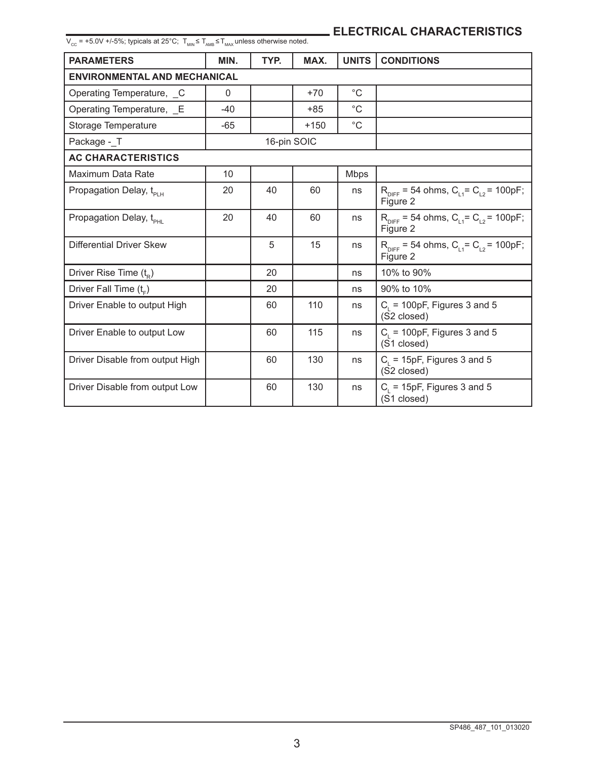$\rm V_{\rm cc}$  = +5.0V +/-5%; typicals at 25°C;  $\rm T_{\rm MMS}$  ≤  $\rm T_{\rm MMS}$  unless otherwise noted.  $\rm T_{\rm C}$ 

| <b>PARAMETERS</b>                   | MIN.     | TYP.        | MAX.   | <b>UNITS</b> | <b>CONDITIONS</b>                                                     |  |
|-------------------------------------|----------|-------------|--------|--------------|-----------------------------------------------------------------------|--|
| <b>ENVIRONMENTAL AND MECHANICAL</b> |          |             |        |              |                                                                       |  |
| Operating Temperature, _C           | $\Omega$ |             | $+70$  | $^{\circ}C$  |                                                                       |  |
| Operating Temperature, E            | $-40$    |             | $+85$  | $^{\circ}C$  |                                                                       |  |
| Storage Temperature                 | $-65$    |             | $+150$ | $^{\circ}C$  |                                                                       |  |
| Package - T                         |          | 16-pin SOIC |        |              |                                                                       |  |
| <b>AC CHARACTERISTICS</b>           |          |             |        |              |                                                                       |  |
| Maximum Data Rate                   | 10       |             |        | Mbps         |                                                                       |  |
| Propagation Delay, t <sub>PLH</sub> | 20       | 40          | 60     | ns           | $R_{\text{DIFF}}$ = 54 ohms, $C_{11}$ = $C_{12}$ = 100pF;<br>Figure 2 |  |
| Propagation Delay, t <sub>PHI</sub> | 20       | 40          | 60     | ns           | $R_{\text{DIFF}}$ = 54 ohms, $C_{11}$ = $C_{12}$ = 100pF;<br>Figure 2 |  |
| Differential Driver Skew            |          | 5           | 15     | ns           | $R_{\text{DIFF}}$ = 54 ohms, $C_{11}$ = $C_{12}$ = 100pF;<br>Figure 2 |  |
| Driver Rise Time $(t_{R})$          |          | 20          |        | ns           | 10% to 90%                                                            |  |
| Driver Fall Time (t <sub>r</sub> )  |          | 20          |        | ns           | 90% to 10%                                                            |  |
| Driver Enable to output High        |          | 60          | 110    | ns           | $C1$ = 100pF, Figures 3 and 5<br>(S2 closed)                          |  |
| Driver Enable to output Low         |          | 60          | 115    | ns           | $C1$ = 100pF, Figures 3 and 5<br>(S1 closed)                          |  |
| Driver Disable from output High     |          | 60          | 130    | ns           | $C1$ = 15pF, Figures 3 and 5<br>(S2 closed)                           |  |
| Driver Disable from output Low      |          | 60          | 130    | ns           | $C_i = 15pF$ , Figures 3 and 5<br>(S1 closed)                         |  |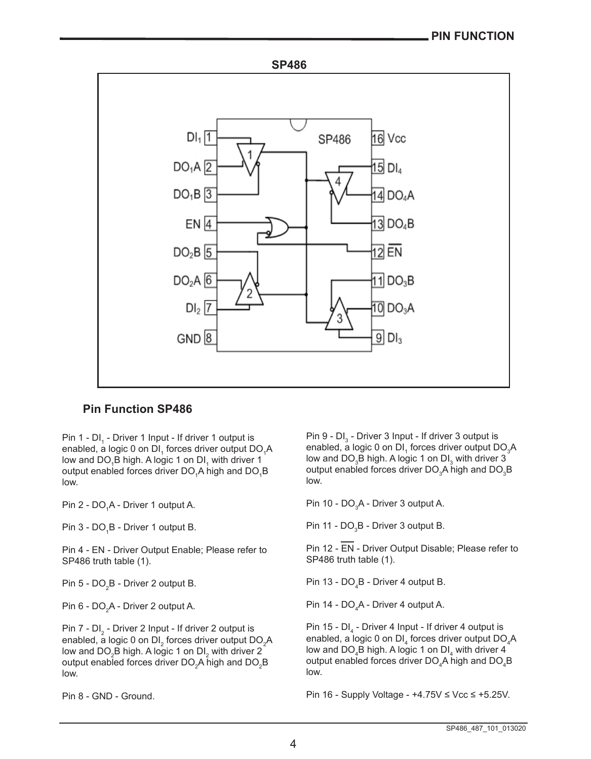

### **Pin Function SP486**

Pin 1 - DI<sub>1</sub> - Driver 1 Input - If driver 1 output is enabled, a logic 0 on DI $_{\textrm{\tiny{1}}}$  forces driver output DO $_{\textrm{\tiny{1}}}$ A low and DO $_{\textrm{\tiny{1}}}$ B high. A logic 1 on DI $_{\textrm{\tiny{1}}}$  with driver 1 output enabled forces driver DO<sub>1</sub>A high and DO<sub>1</sub>B low.

Pin 2 - DO<sub>1</sub>A - Driver 1 output A.

Pin 3 - DO<sub>1</sub>B - Driver 1 output B.

Pin 4 - EN - Driver Output Enable; Please refer to SP486 truth table (1).

Pin 5 - DO $_{\rm 2}$ B - Driver 2 output B.

Pin 6 - DO $_{\textrm{\tiny{2}}}$ A - Driver 2 output A.

Pin 7 - DI $_2$  - Driver 2 Input - If driver 2 output is enabled, a logic 0 on DI $_{\textrm{\tiny{2}}}$  forces driver output DO $_{\textrm{\tiny{2}}}$ A low and DO $_2$ B high. A logic 1 on DI $_2$  with driver 2 output enabled forces driver DO $_2^{}$ A high and DO $_2^{}$ B low.

Pin 8 - GND - Ground.

Pin 9 - DI $_3$  - Driver 3 Input - If driver 3 output is enabled, a logic 0 on DI $_{\textrm{\tiny{1}}}$  forces driver output DO $_{\textrm{\tiny{3}}}$ A low and DO $_{\scriptscriptstyle{3}}$ B high. A logic 1 on DI $_{\scriptscriptstyle{3}}$  with driver 3 output enabled forces driver DO $_{3}$ A high and DO $_{3}$ B low.

Pin 10 - DO $_3$ A - Driver 3 output A.

Pin 11 - DO $_{3}$ B - Driver 3 output B.

Pin 12 - EN - Driver Output Disable; Please refer to SP486 truth table (1).

Pin 13 - DO $_{4}$ B - Driver 4 output B.

Pin 14 - DO $_{4}$ A - Driver 4 output A.

Pin 15 - DI $_4$  - Driver 4 Input - If driver 4 output is enabled, a logic 0 on DI $_4$  forces driver output DO $_4$ A low and DO $_{\rm 4}$ B high. A logic 1 on DI $_{\rm 4}$  with driver 4 output enabled forces driver DO $_{\scriptscriptstyle 4}$ A high and DO $_{\scriptscriptstyle 4}$ B low.

Pin 16 - Supply Voltage - +4.75V ≤ Vcc ≤ +5.25V.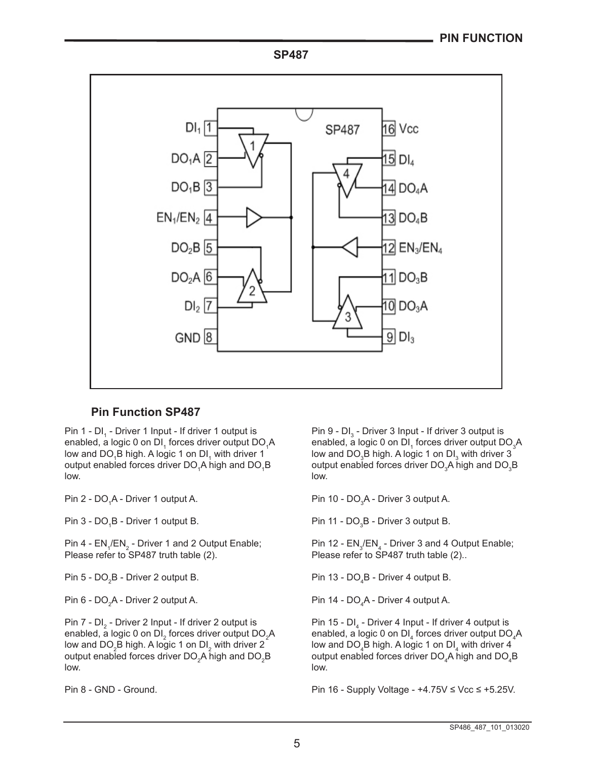**SP487**



### **Pin Function SP487**

Pin 1 - DI<sub>1</sub> - Driver 1 Input - If driver 1 output is enabled, a logic 0 on DI $_{\textrm{\tiny{1}}}$  forces driver output DO $_{\textrm{\tiny{1}}}$ A low and DO<sub>1</sub>B high. A logic 1 on DI<sub>1</sub> with driver 1 output enabled forces driver DO<sub>1</sub>A high and DO<sub>1</sub>B low.

Pin 2 - DO<sub>1</sub>A - Driver 1 output A.

Pin 3 - DO<sub>1</sub>B - Driver 1 output B.

Pin 4 -  $\mathsf{EN}_1/\mathsf{EN}_2$  - Driver 1 and 2 Output Enable; Please refer to SP487 truth table (2).

Pin 5 - DO $_{\textrm{\tiny{2}}}$ B - Driver 2 output B.

Pin 6 - DO $_{2}$ A - Driver 2 output A.

Pin 7 - DI<sub>2</sub> - Driver 2 Input - If driver 2 output is enabled, a logic 0 on DI $_{\textrm{\tiny{2}}}$  forces driver output DO $_{\textrm{\tiny{2}}}$ A low and DO $_2$ B high. A logic 1 on DI $_2$  with driver 2 output enabled forces driver DO $_2$ A high and DO $_2$ B low.

Pin 8 - GND - Ground.

Pin 9 - DI $_3$  - Driver 3 Input - If driver 3 output is enabled, a logic 0 on DI $_{\textrm{\tiny{1}}}$  forces driver output DO $_{\textrm{\tiny{3}}}$ A low and DO $_{\tiny 3}$ B high. A logic 1 on DI $_{\tiny 3}$  with driver 3 output enabled forces driver DO $_{3}$ A high and DO $_{3}$ B low.

Pin 10 - DO $_{3}$ A - Driver 3 output A.

Pin 11 - DO $_{3}$ B - Driver 3 output B.

Pin 12 -  $\mathsf{EN}_3/\mathsf{EN}_4$  - Driver 3 and 4 Output Enable; Please refer to SP487 truth table (2)..

Pin 13 - DO $_4$ B - Driver 4 output B.

Pin 14 - DO $_{4}$ A - Driver 4 output A.

Pin 15 - DI<sub>4</sub> - Driver 4 Input - If driver 4 output is enabled, a logic 0 on DI $_4$  forces driver output DO $_4$ A low and DO $_{4}$ B high. A logic 1 on DI $_{4}$  with driver 4 output enabled forces driver DO $_{\scriptscriptstyle 4}$ A high and DO $_{\scriptscriptstyle 4}$ B low.

Pin 16 - Supply Voltage - +4.75V ≤ Vcc ≤ +5.25V.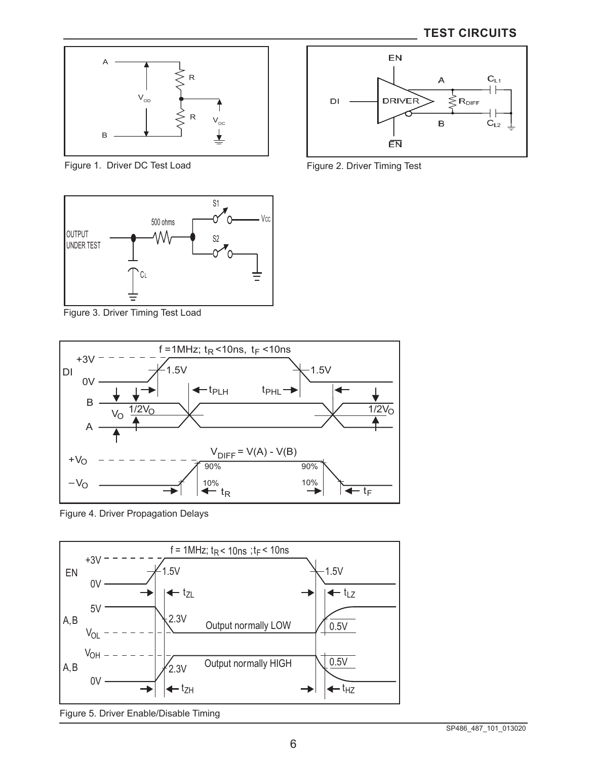

Figure 1. Driver DC Test Load



Figure 3. Driver Timing Test Load



Figure 4. Driver Propagation Delays



Figure 5. Driver Enable/Disable Timing



Figure 2. Driver Timing Test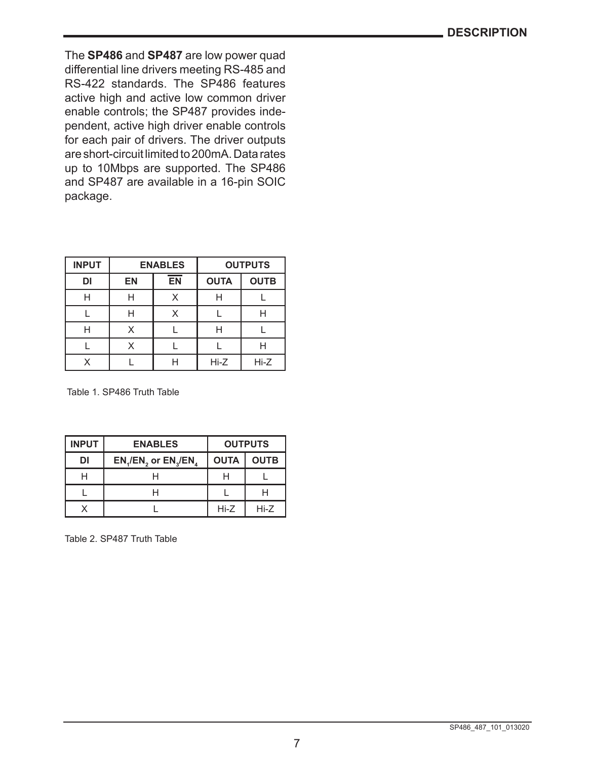The **SP486** and **SP487** are low power quad differential line drivers meeting RS-485 and RS-422 standards. The SP486 features active high and active low common driver enable controls; the SP487 provides independent, active high driver enable controls for each pair of drivers. The driver outputs are short-circuit limited to 200mA. Data rates up to 10Mbps are supported. The SP486 and SP487 are available in a 16-pin SOIC package.

| <b>INPUT</b> |           | <b>ENABLES</b> |             | <b>OUTPUTS</b> |
|--------------|-----------|----------------|-------------|----------------|
| DI           | <b>EN</b> | <b>EN</b>      | <b>OUTA</b> | <b>OUTB</b>    |
| н            | н         | x              | Н           |                |
|              | Н         |                |             |                |
|              | x         |                | Н           |                |
|              | x         |                |             |                |
|              |           |                | $Hi-Z$      | Hi-Z           |

Table 1. SP486 Truth Table

| <b>INPUT</b> | <b>ENABLES</b>     | <b>OUTPUTS</b> |             |
|--------------|--------------------|----------------|-------------|
| DI           | EN,/EN, or EN,/EN, | <b>OUTA</b>    | <b>OUTB</b> |
|              |                    |                |             |
|              |                    |                |             |
|              |                    | $Hi-Z$         | $Hi-Z$      |

Table 2. SP487 Truth Table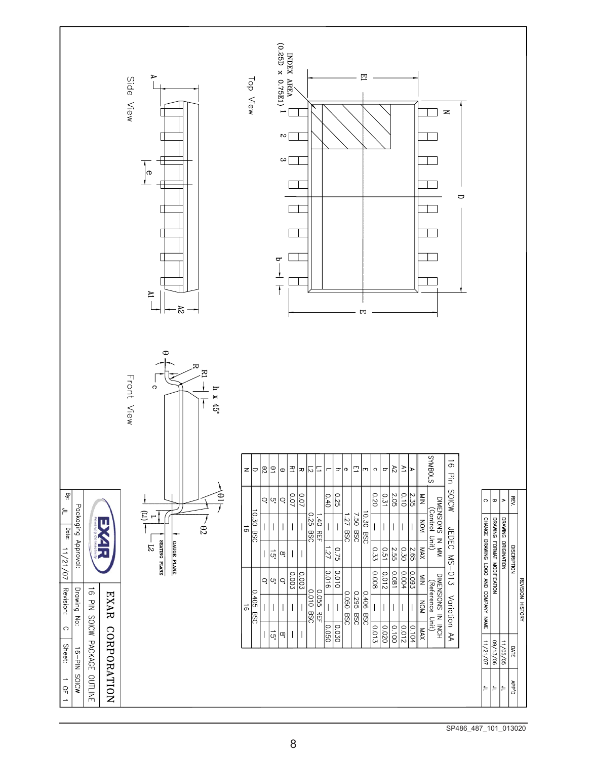